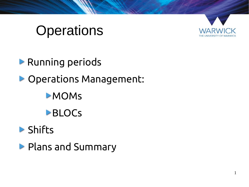# **Operations**



Running periods Operations Management: MOMs **BLOCS** 

### Shifts

**Plans and Summary**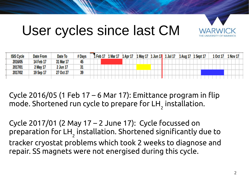

### User cycles since last CM

| <b>ISIS Cycle</b> | <b>Date From</b> | Date To          | # Days | Feb <sub>17</sub> |  | . Mar 17 | 1 Apr 17 |  | 1 May 17 | . Jun 17 |  | 1 Jul 17 |  | 1 Aug 17 | 1 Sept 17 |  | 1 Oct 17 |  | 1 Nov 17 |  |
|-------------------|------------------|------------------|--------|-------------------|--|----------|----------|--|----------|----------|--|----------|--|----------|-----------|--|----------|--|----------|--|
| 2016/05           | 14 Feb 17        | <b>31 Mar 17</b> | 45     |                   |  |          |          |  |          |          |  |          |  |          |           |  |          |  |          |  |
| 2017/01           | 2 May 17         | 2 Jun 17         | JТ     |                   |  |          |          |  |          |          |  |          |  |          |           |  |          |  |          |  |
| 2017/02           | 19 Sep 17        | 27 Oct 27        | 39     |                   |  |          |          |  |          |          |  |          |  |          |           |  |          |  |          |  |
|                   |                  |                  |        |                   |  |          |          |  |          |          |  |          |  |          |           |  |          |  |          |  |

Cycle 2016/05 (1 Feb  $17 - 6$  Mar 17): Emittance program in flip mode. Shortened run cycle to prepare for LH $_{_{\rm 2}}$  installation.

Cycle 2017/01 (2 May 17 – 2 June 17): Cycle focussed on preparation for LH $_{_{\rm 2}}$  installation. Shortened significantly due to tracker cryostat problems which took 2 weeks to diagnose and repair. SS magnets were not energised during this cycle.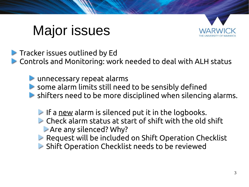# Major issues



 $\blacktriangleright$  Tracker issues outlined by Ed

Controls and Monitoring: work needed to deal with ALH status

unnecessary repeat alarms

- some alarm limits still need to be sensibly defined
- shifters need to be more disciplined when silencing alarms.
	- If a new alarm is silenced put it in the logbooks.
	- Check alarm status at start of shift with the old shift Are any silenced? Why?
	- **Request will be included on Shift Operation Checklist**
	- Shift Operation Checklist needs to be reviewed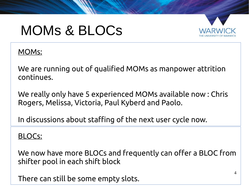## MOMs & BLOCs



#### MOMs:

We are running out of qualified MOMs as manpower attrition continues.

We really only have 5 experienced MOMs available now : Chris Rogers, Melissa, Victoria, Paul Kyberd and Paolo.

In discussions about staffing of the next user cycle now.

BLOCs:

We now have more BLOCs and frequently can offer a BLOC from shifter pool in each shift block

There can still be some empty slots.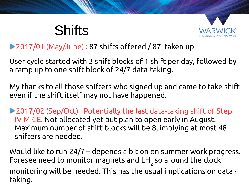# **Shifts**



#### 2017/01 (May/June) : 87 shifts offered / 87 taken up

User cycle started with 3 shift blocks of 1 shift per day, followed by a ramp up to one shift block of 24/7 data-taking.

My thanks to all those shifters who signed up and came to take shift even if the shift itself may not have happened.

2017/02 (Sep/Oct) : Potentially the last data-taking shift of Step IV MICE. Not allocated yet but plan to open early in August. Maximum number of shift blocks will be 8, implying at most 48 shifters are needed.

monitoring will be needed. This has the usual implications on data  $_5$ Would like to run 24/7 – depends a bit on on summer work progress. Foresee need to monitor magnets and LH $_{_{\rm 2}}$  so around the clock taking.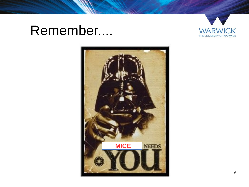### Remember....



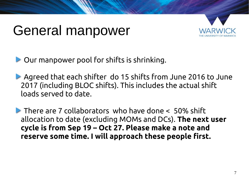### General manpower



Our manpower pool for shifts is shrinking.

- Agreed that each shifter do 15 shifts from June 2016 to June 2017 (including BLOC shifts). This includes the actual shift loads served to date.
- There are 7 collaborators who have done < 50% shift allocation to date (excluding MOMs and DCs). **The next user cycle is from Sep 19 – Oct 27. Please make a note and reserve some time. I will approach these people first.**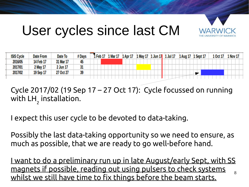

## User cycles since last CM

| <b>ISIS Cycle</b> | <b>Date From</b> | Date To   | # Days | 1 Feb 17 | 1 Mar 17 | 1 Apr 17 | l May 17 | 1 Jun 17 | 1 Jul 17 | 1 Aug 17 | <b>1 Sept 17</b> | . Oct 17 | 1 Nov 17 |
|-------------------|------------------|-----------|--------|----------|----------|----------|----------|----------|----------|----------|------------------|----------|----------|
| 2016/05           | 14 Feb 17        | 31 Mar 17 | 45     |          |          |          |          |          |          |          |                  |          |          |
| 2017/01           | 2 May 17         | 2 Jun 17  | 31     |          |          |          |          |          |          |          |                  |          |          |
| 2017/02           | 19 Sep 17        | 27 Oct 27 | 39     |          |          |          |          |          |          |          |                  |          |          |
|                   |                  |           |        |          |          |          |          |          |          |          |                  |          |          |

Cycle 2017/02 (19 Sep 17 – 27 Oct 17): Cycle focussed on running with LH 2 installation.

I expect this user cycle to be devoted to data-taking.

Possibly the last data-taking opportunity so we need to ensure, as much as possible, that we are ready to go well-before hand.

8 I want to do a preliminary run up in late August/early Sept, with SS magnets if possible, reading out using pulsers to check systems whilst we still have time to fix things before the beam starts.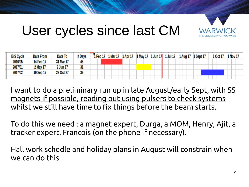

## User cycles since last CM

| <b>ISIS Cycle</b> | <b>Date From</b> | Date To   | # Days | Feb 17 | l Mar 17 | 1 Apr 17 | 1 May 17   1 Jun 17 | 1 Jul 17 | 1 Aug 17 | <b>1 Sept 17</b> | LOct 17 | 1 Nov 17 |
|-------------------|------------------|-----------|--------|--------|----------|----------|---------------------|----------|----------|------------------|---------|----------|
| 2016/05           | 14 Feb 17        | 31 Mar 17 | 45     |        |          |          |                     |          |          |                  |         |          |
| 2017/01           | 2 May 17         | 2 Jun 17  | 51     |        |          |          |                     |          |          |                  |         |          |
| 2017/02           | 19 Sep 17        | 27 Oct 27 | 39     |        |          |          |                     |          |          |                  |         |          |
|                   |                  |           |        |        |          |          |                     |          |          |                  |         |          |

I want to do a preliminary run up in late August/early Sept, with SS magnets if possible, reading out using pulsers to check systems whilst we still have time to fix things before the beam starts.

To do this we need : a magnet expert, Durga, a MOM, Henry, Ajit, a tracker expert, Francois (on the phone if necessary).

Hall work schedle and holiday plans in August will constrain when we can do this.